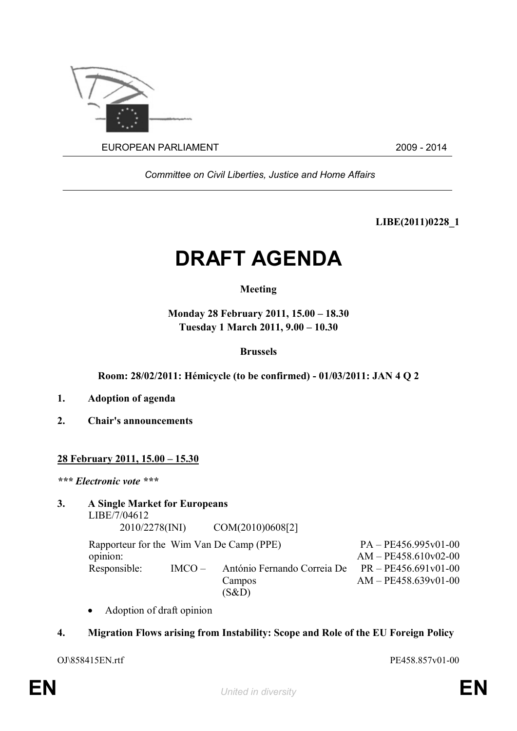

*Committee on Civil Liberties, Justice and Home Affairs*

**LIBE(2011)0228\_1**

# **DRAFT AGENDA**

## **Meeting**

**Monday 28 February 2011, 15.00 – 18.30 Tuesday 1 March 2011, 9.00 – 10.30**

## **Brussels**

**Room: 28/02/2011: Hémicycle (to be confirmed) - 01/03/2011: JAN 4 Q 2**

- **1. Adoption of agenda**
- **2. Chair's announcements**

### **28 February 2011, 15.00 – 15.30**

*\*\*\* Electronic vote \*\*\**

#### **3. A Single Market for Europeans** LIBE/7/04612

2010/2278(INI) COM(2010)0608[2]

Rapporteur for the Wim Van De Camp (PPE)  $PA - PE456.995v01-00$ opinion: AM – PE458.610v02-00 Responsible: IMCO – António Fernando Correia De Campos (S&D) PR – PE456.691v01-00 AM – PE458.639v01-00

Adoption of draft opinion

## **4. Migration Flows arising from Instability: Scope and Role of the EU Foreign Policy**

OJ\858415EN.rtf PE458.857v01-00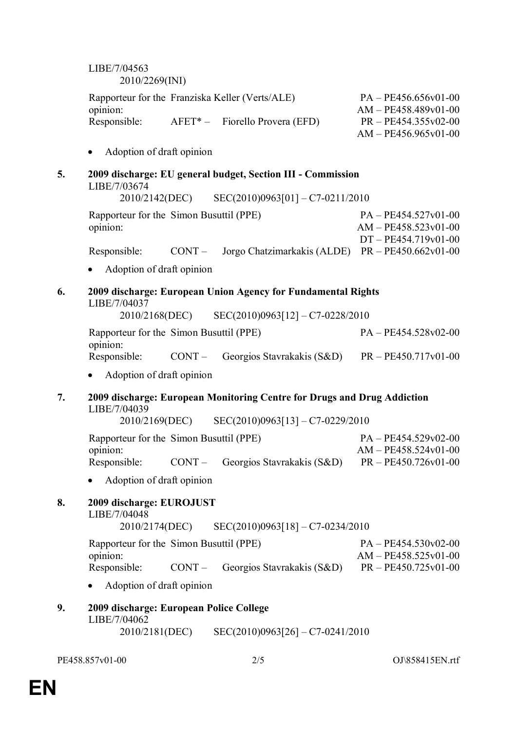LIBE/7/04563 2010/2269(INI)

| Rapporteur for the Franziska Keller (Verts/ALE) |                                   | $PA - PE456.656v01-00$ |
|-------------------------------------------------|-----------------------------------|------------------------|
| opinion:                                        |                                   | $AM - PE458.489v01-00$ |
| Responsible:                                    | $AFET^*$ – Fiorello Provera (EFD) | $PR - PE454.355v02-00$ |
|                                                 |                                   | $AM - PE456.965v01-00$ |

- Adoption of draft opinion
- **5. 2009 discharge: EU general budget, Section III Commission** LIBE/7/03674

2010/2142(DEC) SEC(2010)0963[01] – C7-0211/2010 Rapporteur for the Simon Busuttil (PPE) opinion: PA – PE454.527v01-00 AM – PE458.523v01-00 DT – PE454.719v01-00 Responsible: CONT – Jorgo Chatzimarkakis (ALDE) PR – PE450.662v01-00

Adoption of draft opinion

#### **6. 2009 discharge: European Union Agency for Fundamental Rights** LIBE/7/04037 2010/2168(DEC) SEC(2010)0963[12] – C7-0228/2010

Rapporteur for the Simon Busuttil (PPE) PA – PE454.528v02-00 opinion: Responsible: CONT – Georgios Stavrakakis (S&D) PR – PE450.717v01-00

Adoption of draft opinion

### **7. 2009 discharge: European Monitoring Centre for Drugs and Drug Addiction** LIBE/7/04039

2010/2169(DEC) SEC(2010)0963[13] – C7-0229/2010

|              | Rapporteur for the Simon Busuttil (PPE) |                                            | $PA - PE454.529v02-00$ |
|--------------|-----------------------------------------|--------------------------------------------|------------------------|
| opinion:     |                                         |                                            | $AM - PE458.524v01-00$ |
| Responsible: |                                         | $CONT - \text{Georgios Stavrakakis (S&D)}$ | $PR - PE450.726v01-00$ |

Adoption of draft opinion

## **8. 2009 discharge: EUROJUST**

#### LIBE/7/04048

2010/2174(DEC) SEC(2010)0963[18] – C7-0234/2010

Rapporteur for the Simon Busuttil (PPE) PA – PE454.530v02-00 opinion: AM – PE458.525v01-00 Responsible: CONT – Georgios Stavrakakis (S&D) PR – PE450.725v01-00

Adoption of draft opinion

## **9. 2009 discharge: European Police College**

## LIBE/7/04062

2010/2181(DEC) SEC(2010)0963[26] – C7-0241/2010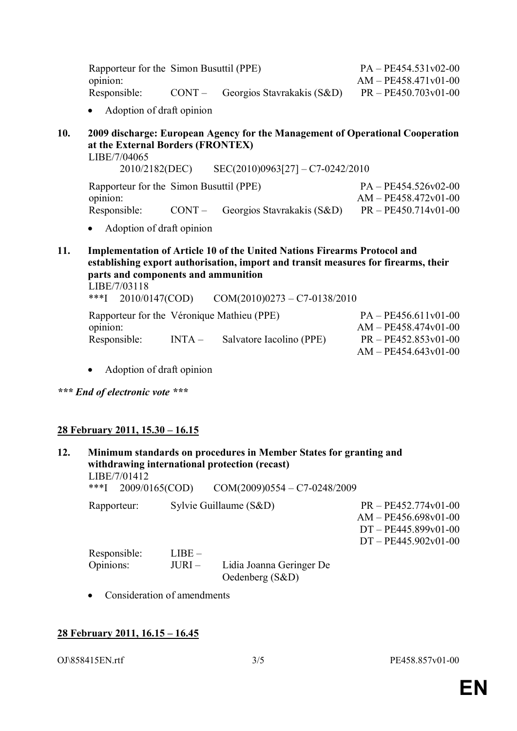| Rapporteur for the Simon Busuttil (PPE) |                                            | $PA - PE454.531v02-00$ |
|-----------------------------------------|--------------------------------------------|------------------------|
| opinion:                                |                                            | $AM - PE458.471v01-00$ |
| Responsible:                            | $CONT - \text{Georgios Stavrakakis (S&D)}$ | $PR - PE450.703v01-00$ |

- Adoption of draft opinion
- **10. 2009 discharge: European Agency for the Management of Operational Cooperation at the External Borders (FRONTEX)**

LIBE/7/04065

2010/2182(DEC) SEC(2010)0963[27] – C7-0242/2010 Rapporteur for the Simon Busuttil (PPE) opinion:  $PA - PE454.526v02-00$ AM – PE458.472v01-00 Responsible: CONT – Georgios Stavrakakis (S&D) PR – PE450.714v01-00

- Adoption of draft opinion
- **11. Implementation of Article 10 of the United Nations Firearms Protocol and establishing export authorisation, import and transit measures for firearms, their parts and components and ammunition** LIBE/7/03118

\*\*\*I 2010/0147(COD) COM(2010)0273 – C7-0138/2010 Rapporteur for the Véronique Mathieu (PPE) PA – PE456.611v01-00 opinion: AM – PE458.474v01-00 Responsible: INTA – Salvatore Iacolino (PPE) PR – PE452.853v01-00 AM – PE454.643v01-00

- Adoption of draft opinion
- *\*\*\* End of electronic vote \*\*\**

## **28 February 2011, 15.30 – 16.15**

**12. Minimum standards on procedures in Member States for granting and withdrawing international protection (recast)** LIBE/7/01412<br>\*\*\*I 2009/0165(COD)  $COM(2009)0554 - C7-0248/2009$ 

Rapporteur: Sylvie Guillaume (S&D) PR – PE452.774v01-00

AM – PE456.698v01-00 DT – PE445.899v01-00 DT – PE445.902v01-00

| Responsible: | $LIBE -$ |                          |
|--------------|----------|--------------------------|
| Opinions:    | JURI –   | Lidia Joanna Geringer De |
|              |          | Oedenberg $(S&D)$        |

• Consideration of amendments

### **28 February 2011, 16.15 – 16.45**

OJ\858415EN.rtf 3/5 PE458.857v01-00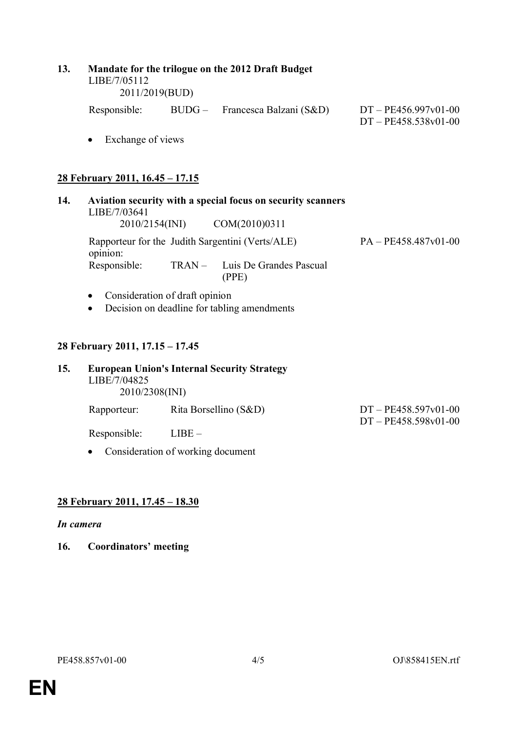| 13. | LIBE/7/05112                                                                                                   | Mandate for the trilogue on the 2012 Draft Budget<br>2011/2019(BUD) |                                                                                      |                                                  |  |  |
|-----|----------------------------------------------------------------------------------------------------------------|---------------------------------------------------------------------|--------------------------------------------------------------------------------------|--------------------------------------------------|--|--|
|     |                                                                                                                |                                                                     | Responsible: BUDG – Francesca Balzani (S&D)                                          | $DT - PE456.997v01-00$<br>$DT - PE458.538v01-00$ |  |  |
|     | Exchange of views<br>$\bullet$                                                                                 |                                                                     |                                                                                      |                                                  |  |  |
|     | 28 February 2011, 16.45 - 17.15                                                                                |                                                                     |                                                                                      |                                                  |  |  |
| 14. | Aviation security with a special focus on security scanners<br>LIBE/7/03641<br>2010/2154(INI)<br>COM(2010)0311 |                                                                     |                                                                                      |                                                  |  |  |
|     | opinion:<br>Responsible:                                                                                       | $TRAN -$                                                            | Rapporteur for the Judith Sargentini (Verts/ALE)<br>Luis De Grandes Pascual<br>(PPE) | $PA - PE458.487v01-00$                           |  |  |
|     | Consideration of draft opinion<br>$\bullet$<br>Decision on deadline for tabling amendments<br>$\bullet$        |                                                                     |                                                                                      |                                                  |  |  |
|     | 28 February 2011, 17.15 - 17.45                                                                                |                                                                     |                                                                                      |                                                  |  |  |
| 15. | <b>European Union's Internal Security Strategy</b><br>LIBE/7/04825<br>2010/2308(INI)                           |                                                                     |                                                                                      |                                                  |  |  |
|     | Rapporteur:                                                                                                    |                                                                     | Rita Borsellino (S&D)                                                                | $DT - PE458.597v01-00$                           |  |  |

Responsible: LIBE –

Consideration of working document

# **28 February 2011, 17.45 – 18.30**

### *In camera*

**16. Coordinators' meeting**

DT – PE458.598v01-00